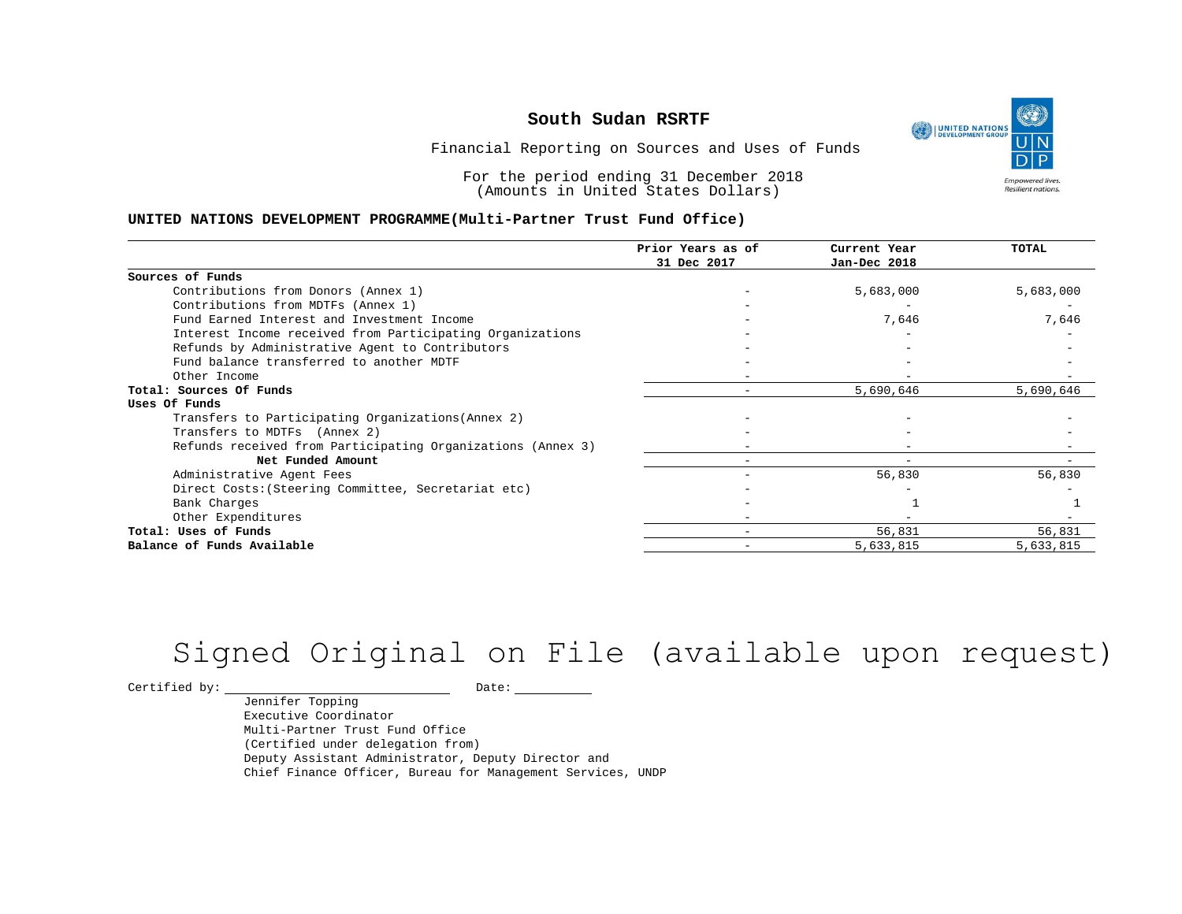UNITED NATIONS **Empowered lives** Resilient nations.

Financial Reporting on Sources and Uses of Funds

For the period ending 31 December 2018 (Amounts in United States Dollars)

#### **UNITED NATIONS DEVELOPMENT PROGRAMME(Multi-Partner Trust Fund Office)**

|                                                             | Prior Years as of | Current Year | TOTAL     |
|-------------------------------------------------------------|-------------------|--------------|-----------|
|                                                             | 31 Dec 2017       | Jan-Dec 2018 |           |
| Sources of Funds                                            |                   |              |           |
| Contributions from Donors (Annex 1)                         |                   | 5,683,000    | 5,683,000 |
| Contributions from MDTFs (Annex 1)                          |                   |              |           |
| Fund Earned Interest and Investment Income                  |                   | 7,646        | 7,646     |
| Interest Income received from Participating Organizations   |                   |              |           |
| Refunds by Administrative Agent to Contributors             |                   |              |           |
| Fund balance transferred to another MDTF                    |                   |              |           |
| Other Income                                                |                   |              |           |
| Total: Sources Of Funds                                     |                   | 5,690,646    | 5,690,646 |
| Uses Of Funds                                               |                   |              |           |
| Transfers to Participating Organizations (Annex 2)          |                   |              |           |
| Transfers to MDTFs (Annex 2)                                |                   |              |           |
| Refunds received from Participating Organizations (Annex 3) |                   |              |           |
| Net Funded Amount                                           |                   |              |           |
| Administrative Agent Fees                                   |                   | 56,830       | 56,830    |
| Direct Costs: (Steering Committee, Secretariat etc)         |                   |              |           |
| Bank Charges                                                |                   |              |           |
| Other Expenditures                                          |                   |              |           |
| Total: Uses of Funds                                        |                   | 56,831       | 56,831    |
| Balance of Funds Available                                  |                   | 5,633,815    | 5,633,815 |

# Signed Original on File (available upon request)

 $\begin{tabular}{c} \multicolumn{2}{c}{{\texttt{Certified by:}}}} \quad \quad \texttt{Date:} \end{tabular}$ 

Jennifer Topping Executive Coordinator Multi-Partner Trust Fund Office (Certified under delegation from) Deputy Assistant Administrator, Deputy Director and Chief Finance Officer, Bureau for Management Services, UNDP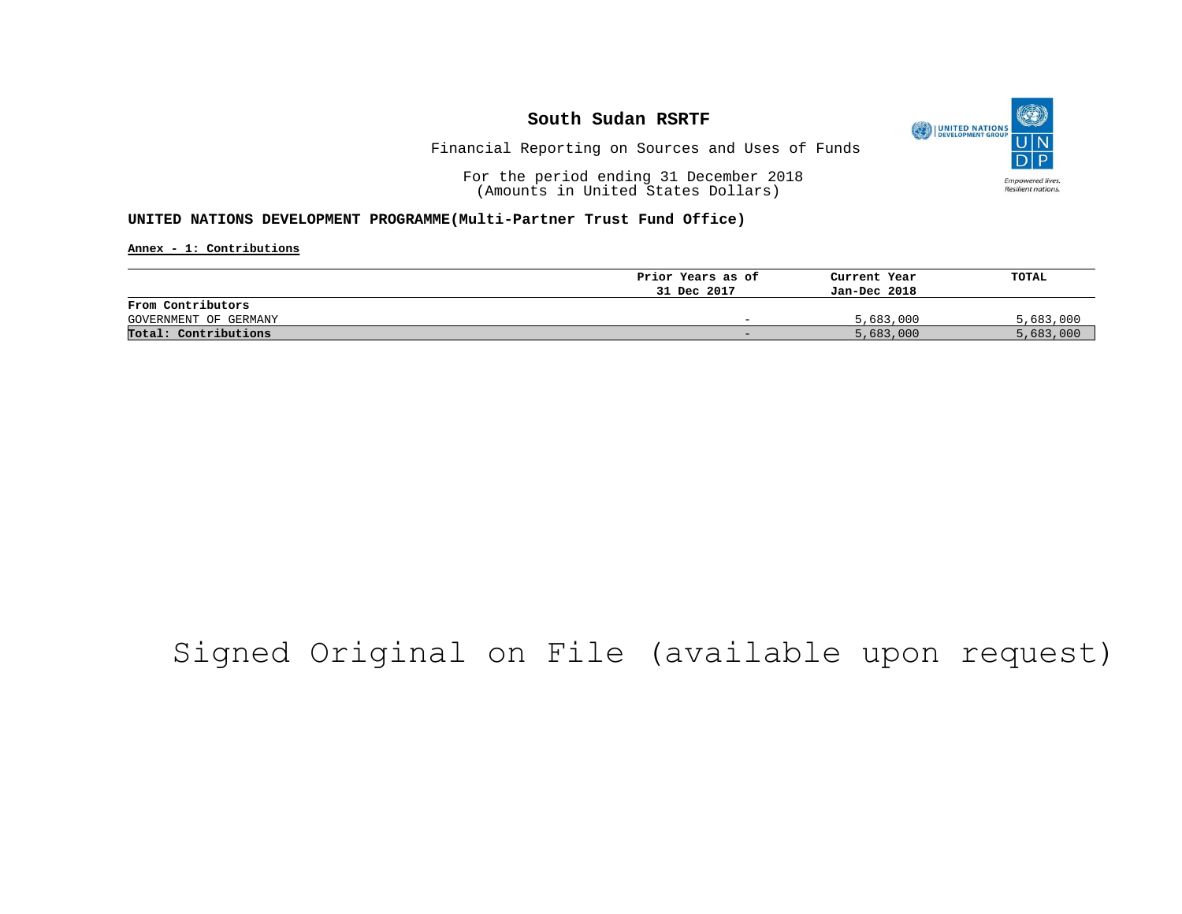

Financial Reporting on Sources and Uses of Funds

For the period ending 31 December 2018 (Amounts in United States Dollars)

#### **UNITED NATIONS DEVELOPMENT PROGRAMME(Multi-Partner Trust Fund Office)**

**Annex - 1: Contributions**

|                       | Prior Years as of | Current Year | TOTAL     |
|-----------------------|-------------------|--------------|-----------|
|                       | 31 Dec 2017       | Jan-Dec 2018 |           |
| From Contributors     |                   |              |           |
| GOVERNMENT OF GERMANY | -                 | 5,683,000    | 5,683,000 |
| Total: Contributions  | -                 | 5,683,000    | 5,683,000 |

# Signed Original on File (available upon request)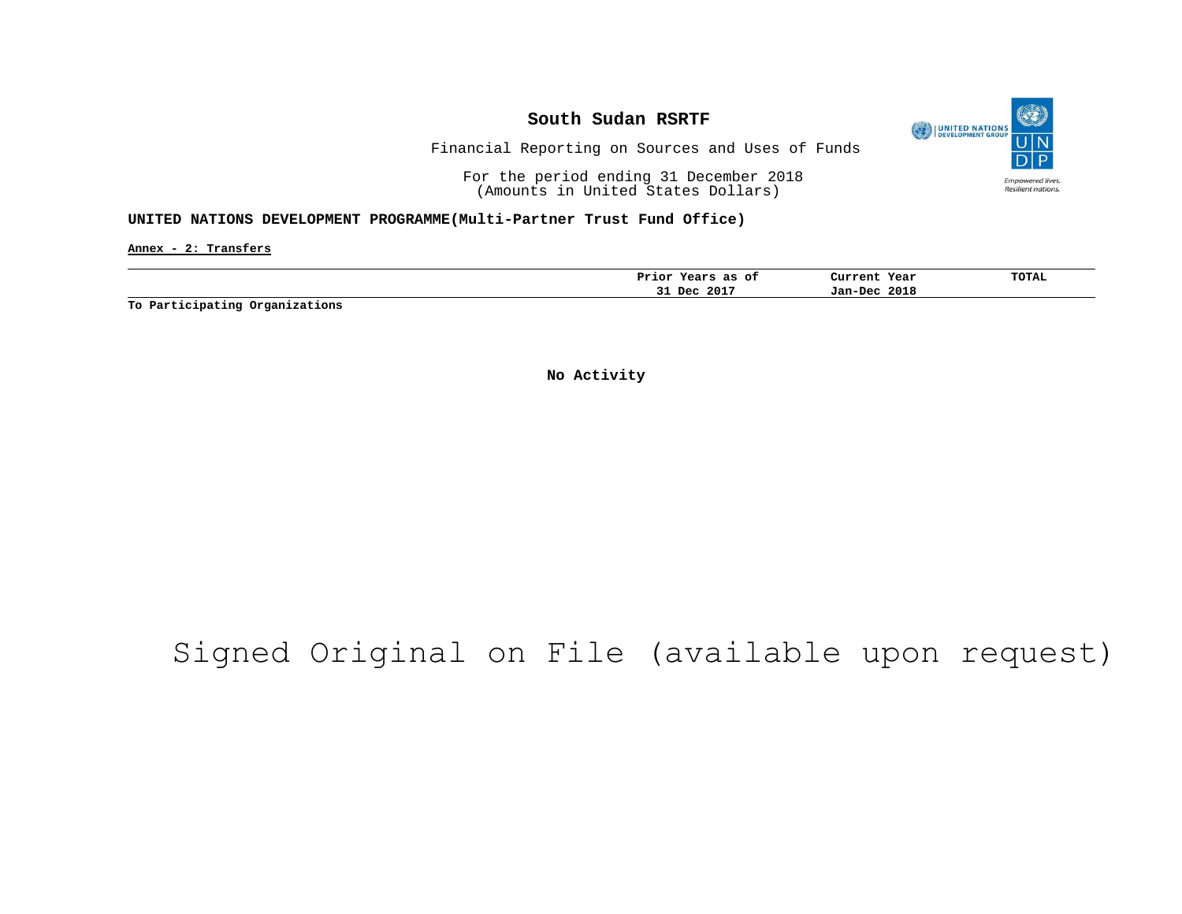

Financial Reporting on Sources and Uses of Funds

For the period ending 31 December 2018 (Amounts in United States Dollars)

#### **UNITED NATIONS DEVELOPMENT PROGRAMME(Multi-Partner Trust Fund Office)**

**Annex - 2: Transfers**

| 2017<br>2018<br>Dec<br>Jan-Dec<br>۔۔ | as<br>оt<br>Prior<br>years | Year<br>Current | <b>TOTAL</b> |
|--------------------------------------|----------------------------|-----------------|--------------|
|                                      |                            |                 |              |

**To Participating Organizations**

**No Activity**

# Signed Original on File (available upon request)